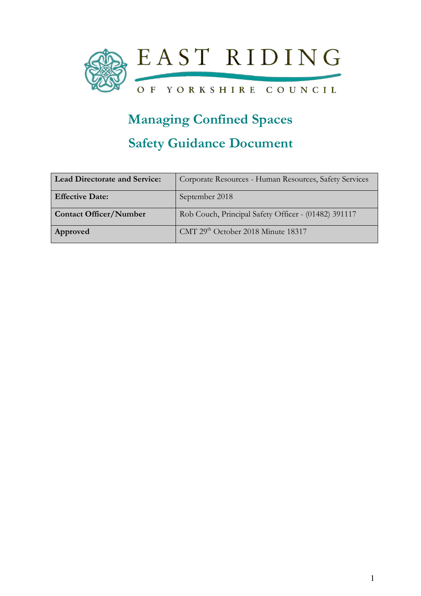

# Managing Confined Spaces

## Safety Guidance Document

| <b>Lead Directorate and Service:</b> | Corporate Resources - Human Resources, Safety Services |
|--------------------------------------|--------------------------------------------------------|
| <b>Effective Date:</b>               | September 2018                                         |
| <b>Contact Officer/Number</b>        | Rob Couch, Principal Safety Officer - (01482) 391117   |
| Approved                             | CMT 29th October 2018 Minute 18317                     |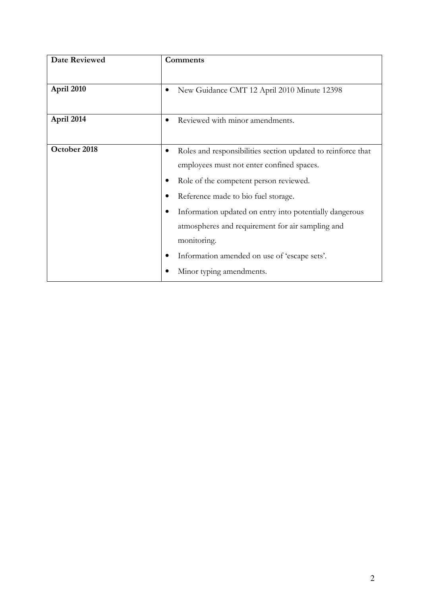| <b>Date Reviewed</b> | <b>Comments</b>                                              |
|----------------------|--------------------------------------------------------------|
|                      |                                                              |
| April 2010           | New Guidance CMT 12 April 2010 Minute 12398                  |
|                      |                                                              |
| April 2014           | Reviewed with minor amendments.                              |
|                      |                                                              |
| October 2018         | Roles and responsibilities section updated to reinforce that |
|                      | employees must not enter confined spaces.                    |
|                      | Role of the competent person reviewed.                       |
|                      | Reference made to bio fuel storage.                          |
|                      | Information updated on entry into potentially dangerous      |
|                      | atmospheres and requirement for air sampling and             |
|                      | monitoring.                                                  |
|                      | Information amended on use of 'escape sets'.                 |
|                      | Minor typing amendments.                                     |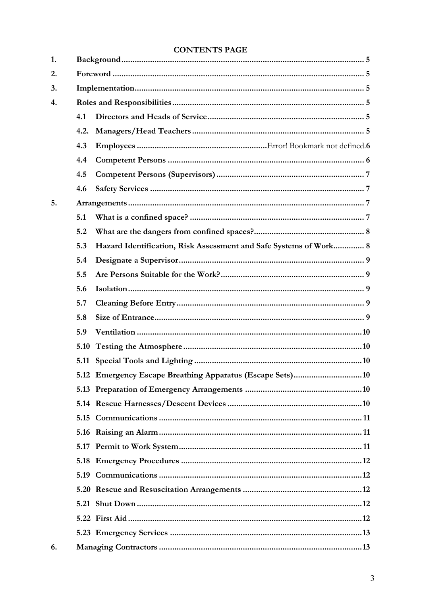## **CONTENTS PAGE**

| 1. |      |                                                                   |
|----|------|-------------------------------------------------------------------|
| 2. |      |                                                                   |
| 3. |      |                                                                   |
| 4. |      |                                                                   |
|    | 4.1  |                                                                   |
|    | 4.2. |                                                                   |
|    | 4.3  |                                                                   |
|    | 4.4  |                                                                   |
|    | 4.5  |                                                                   |
|    | 4.6  |                                                                   |
| 5. |      |                                                                   |
|    | 5.1  |                                                                   |
|    | 5.2  |                                                                   |
|    | 5.3  | Hazard Identification, Risk Assessment and Safe Systems of Work 8 |
|    | 5.4  |                                                                   |
|    | 5.5  |                                                                   |
|    | 5.6  |                                                                   |
|    | 5.7  |                                                                   |
|    | 5.8  |                                                                   |
|    | 5.9  |                                                                   |
|    | 5.10 |                                                                   |
|    |      |                                                                   |
|    |      |                                                                   |
|    |      |                                                                   |
|    |      |                                                                   |
|    |      |                                                                   |
|    |      |                                                                   |
|    |      |                                                                   |
|    |      |                                                                   |
|    |      |                                                                   |
|    |      |                                                                   |
|    |      |                                                                   |
|    |      |                                                                   |
|    |      |                                                                   |
| 6. |      |                                                                   |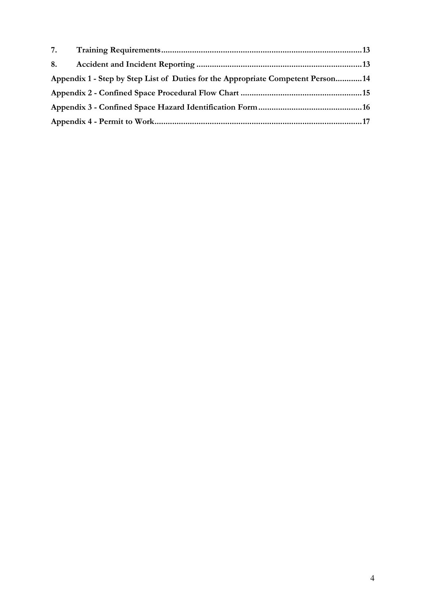| Appendix 1 - Step by Step List of Duties for the Appropriate Competent Person14 |  |
|---------------------------------------------------------------------------------|--|
|                                                                                 |  |
|                                                                                 |  |
|                                                                                 |  |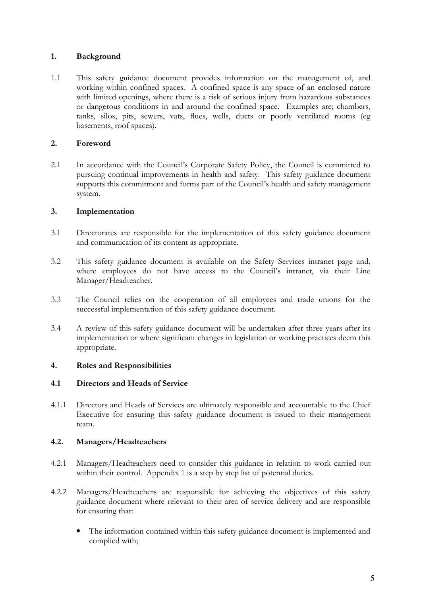#### 1. Background

1.1 This safety guidance document provides information on the management of, and working within confined spaces. A confined space is any space of an enclosed nature with limited openings, where there is a risk of serious injury from hazardous substances or dangerous conditions in and around the confined space. Examples are; chambers, tanks, silos, pits, sewers, vats, flues, wells, ducts or poorly ventilated rooms (eg basements, roof spaces).

#### 2. Foreword

2.1 In accordance with the Council's Corporate Safety Policy, the Council is committed to pursuing continual improvements in health and safety. This safety guidance document supports this commitment and forms part of the Council's health and safety management system.

#### 3. Implementation

- 3.1 Directorates are responsible for the implementation of this safety guidance document and communication of its content as appropriate.
- 3.2 This safety guidance document is available on the Safety Services intranet page and, where employees do not have access to the Council's intranet, via their Line Manager/Headteacher.
- 3.3 The Council relies on the cooperation of all employees and trade unions for the successful implementation of this safety guidance document.
- 3.4 A review of this safety guidance document will be undertaken after three years after its implementation or where significant changes in legislation or working practices deem this appropriate.

#### 4. Roles and Responsibilities

#### 4.1 Directors and Heads of Service

4.1.1 Directors and Heads of Services are ultimately responsible and accountable to the Chief Executive for ensuring this safety guidance document is issued to their management team.

#### 4.2. Managers/Headteachers

- 4.2.1 Managers/Headteachers need to consider this guidance in relation to work carried out within their control. Appendix 1 is a step by step list of potential duties.
- 4.2.2 Managers/Headteachers are responsible for achieving the objectives of this safety guidance document where relevant to their area of service delivery and are responsible for ensuring that:
	- The information contained within this safety guidance document is implemented and complied with;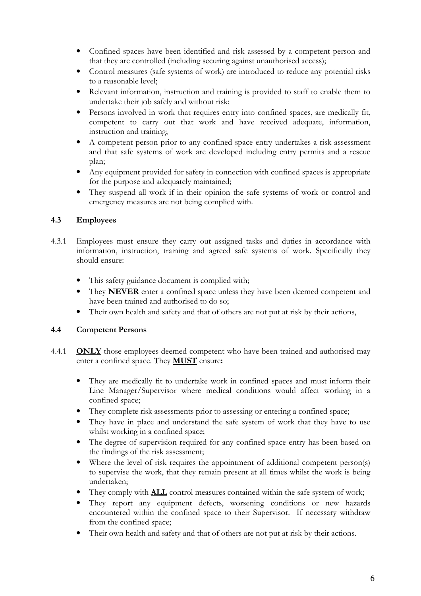- Confined spaces have been identified and risk assessed by a competent person and that they are controlled (including securing against unauthorised access);
- Control measures (safe systems of work) are introduced to reduce any potential risks to a reasonable level;
- Relevant information, instruction and training is provided to staff to enable them to undertake their job safely and without risk;
- Persons involved in work that requires entry into confined spaces, are medically fit, competent to carry out that work and have received adequate, information, instruction and training;
- A competent person prior to any confined space entry undertakes a risk assessment and that safe systems of work are developed including entry permits and a rescue plan;
- Any equipment provided for safety in connection with confined spaces is appropriate for the purpose and adequately maintained;
- They suspend all work if in their opinion the safe systems of work or control and emergency measures are not being complied with.

#### 4.3 Employees

- 4.3.1 Employees must ensure they carry out assigned tasks and duties in accordance with information, instruction, training and agreed safe systems of work. Specifically they should ensure:
	- This safety guidance document is complied with;
	- They **NEVER** enter a confined space unless they have been deemed competent and have been trained and authorised to do so;
	- Their own health and safety and that of others are not put at risk by their actions,

#### 4.4 Competent Persons

- 4.4.1 **ONLY** those employees deemed competent who have been trained and authorised may enter a confined space. They MUST ensure:
	- They are medically fit to undertake work in confined spaces and must inform their Line Manager/Supervisor where medical conditions would affect working in a confined space;
	- They complete risk assessments prior to assessing or entering a confined space;
	- They have in place and understand the safe system of work that they have to use whilst working in a confined space;
	- The degree of supervision required for any confined space entry has been based on the findings of the risk assessment;
	- Where the level of risk requires the appointment of additional competent person(s) to supervise the work, that they remain present at all times whilst the work is being undertaken;
	- They comply with **ALL** control measures contained within the safe system of work;
	- They report any equipment defects, worsening conditions or new hazards encountered within the confined space to their Supervisor. If necessary withdraw from the confined space;
	- Their own health and safety and that of others are not put at risk by their actions.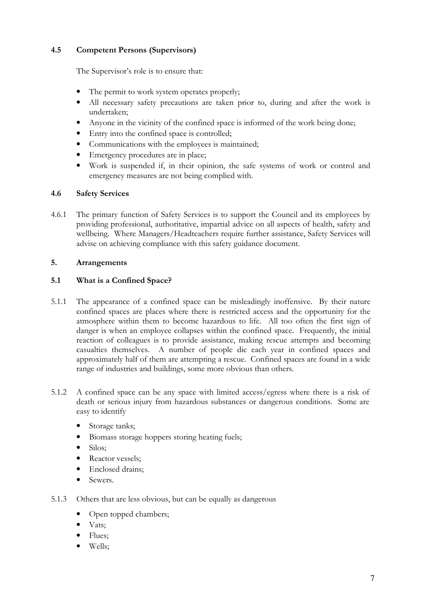#### 4.5 Competent Persons (Supervisors)

The Supervisor's role is to ensure that:

- The permit to work system operates properly;
- All necessary safety precautions are taken prior to, during and after the work is undertaken;
- Anyone in the vicinity of the confined space is informed of the work being done;
- Entry into the confined space is controlled;
- Communications with the employees is maintained;
- Emergency procedures are in place;
- Work is suspended if, in their opinion, the safe systems of work or control and emergency measures are not being complied with.

#### 4.6 Safety Services

4.6.1 The primary function of Safety Services is to support the Council and its employees by providing professional, authoritative, impartial advice on all aspects of health, safety and wellbeing. Where Managers/Headteachers require further assistance, Safety Services will advise on achieving compliance with this safety guidance document.

#### 5. Arrangements

#### 5.1 What is a Confined Space?

- 5.1.1 The appearance of a confined space can be misleadingly inoffensive. By their nature confined spaces are places where there is restricted access and the opportunity for the atmosphere within them to become hazardous to life. All too often the first sign of danger is when an employee collapses within the confined space. Frequently, the initial reaction of colleagues is to provide assistance, making rescue attempts and becoming casualties themselves. A number of people die each year in confined spaces and approximately half of them are attempting a rescue. Confined spaces are found in a wide range of industries and buildings, some more obvious than others.
- 5.1.2 A confined space can be any space with limited access/egress where there is a risk of death or serious injury from hazardous substances or dangerous conditions. Some are easy to identify
	- Storage tanks;
	- Biomass storage hoppers storing heating fuels;
	- Silos;
	- Reactor vessels;
	- Enclosed drains:
	- Sewers.
- 5.1.3 Others that are less obvious, but can be equally as dangerous
	- Open topped chambers;
	- Vats;
	- Flues;
	- Wells;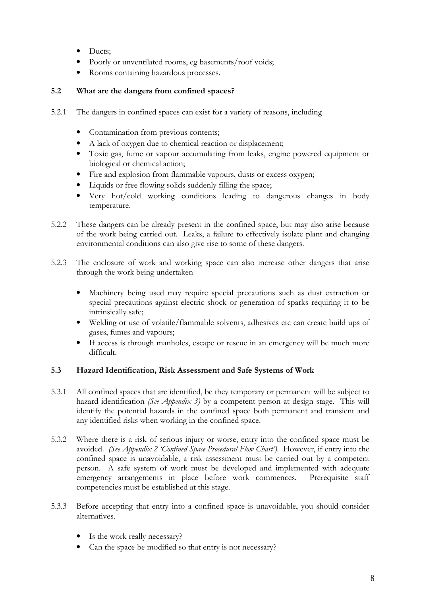- Ducts:
- Poorly or unventilated rooms, eg basements/roof voids;
- Rooms containing hazardous processes.

#### 5.2 What are the dangers from confined spaces?

- 5.2.1 The dangers in confined spaces can exist for a variety of reasons, including
	- Contamination from previous contents;
	- A lack of oxygen due to chemical reaction or displacement;
	- Toxic gas, fume or vapour accumulating from leaks, engine powered equipment or biological or chemical action;
	- Fire and explosion from flammable vapours, dusts or excess oxygen;
	- Liquids or free flowing solids suddenly filling the space;
	- Very hot/cold working conditions leading to dangerous changes in body temperature.
- 5.2.2 These dangers can be already present in the confined space, but may also arise because of the work being carried out. Leaks, a failure to effectively isolate plant and changing environmental conditions can also give rise to some of these dangers.
- 5.2.3 The enclosure of work and working space can also increase other dangers that arise through the work being undertaken
	- Machinery being used may require special precautions such as dust extraction or special precautions against electric shock or generation of sparks requiring it to be intrinsically safe;
	- Welding or use of volatile/flammable solvents, adhesives etc can create build ups of gases, fumes and vapours;
	- If access is through manholes, escape or rescue in an emergency will be much more difficult.

#### 5.3 Hazard Identification, Risk Assessment and Safe Systems of Work

- 5.3.1 All confined spaces that are identified, be they temporary or permanent will be subject to hazard identification (See Appendix 3) by a competent person at design stage. This will identify the potential hazards in the confined space both permanent and transient and any identified risks when working in the confined space.
- 5.3.2 Where there is a risk of serious injury or worse, entry into the confined space must be avoided. (See Appendix 2 'Confined Space Procedural Flow Chart'). However, if entry into the confined space is unavoidable, a risk assessment must be carried out by a competent person. A safe system of work must be developed and implemented with adequate emergency arrangements in place before work commences. Prerequisite staff competencies must be established at this stage.
- 5.3.3 Before accepting that entry into a confined space is unavoidable, you should consider alternatives.
	- Is the work really necessary?
	- Can the space be modified so that entry is not necessary?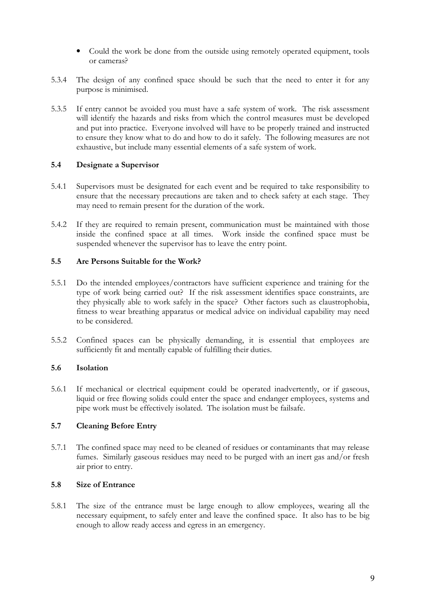- Could the work be done from the outside using remotely operated equipment, tools or cameras?
- 5.3.4 The design of any confined space should be such that the need to enter it for any purpose is minimised.
- 5.3.5 If entry cannot be avoided you must have a safe system of work. The risk assessment will identify the hazards and risks from which the control measures must be developed and put into practice. Everyone involved will have to be properly trained and instructed to ensure they know what to do and how to do it safely. The following measures are not exhaustive, but include many essential elements of a safe system of work.

#### 5.4 Designate a Supervisor

- 5.4.1 Supervisors must be designated for each event and be required to take responsibility to ensure that the necessary precautions are taken and to check safety at each stage. They may need to remain present for the duration of the work.
- 5.4.2 If they are required to remain present, communication must be maintained with those inside the confined space at all times. Work inside the confined space must be suspended whenever the supervisor has to leave the entry point.

#### 5.5 Are Persons Suitable for the Work?

- 5.5.1 Do the intended employees/contractors have sufficient experience and training for the type of work being carried out? If the risk assessment identifies space constraints, are they physically able to work safely in the space? Other factors such as claustrophobia, fitness to wear breathing apparatus or medical advice on individual capability may need to be considered.
- 5.5.2 Confined spaces can be physically demanding, it is essential that employees are sufficiently fit and mentally capable of fulfilling their duties.

#### 5.6 Isolation

5.6.1 If mechanical or electrical equipment could be operated inadvertently, or if gaseous, liquid or free flowing solids could enter the space and endanger employees, systems and pipe work must be effectively isolated. The isolation must be failsafe.

#### 5.7 Cleaning Before Entry

5.7.1 The confined space may need to be cleaned of residues or contaminants that may release fumes. Similarly gaseous residues may need to be purged with an inert gas and/or fresh air prior to entry.

#### 5.8 Size of Entrance

5.8.1 The size of the entrance must be large enough to allow employees, wearing all the necessary equipment, to safely enter and leave the confined space. It also has to be big enough to allow ready access and egress in an emergency.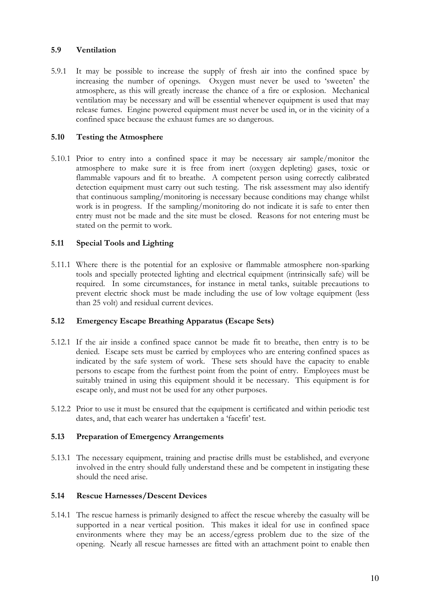#### 5.9 Ventilation

5.9.1 It may be possible to increase the supply of fresh air into the confined space by increasing the number of openings. Oxygen must never be used to 'sweeten' the atmosphere, as this will greatly increase the chance of a fire or explosion. Mechanical ventilation may be necessary and will be essential whenever equipment is used that may release fumes. Engine powered equipment must never be used in, or in the vicinity of a confined space because the exhaust fumes are so dangerous.

#### 5.10 Testing the Atmosphere

5.10.1 Prior to entry into a confined space it may be necessary air sample/monitor the atmosphere to make sure it is free from inert (oxygen depleting) gases, toxic or flammable vapours and fit to breathe. A competent person using correctly calibrated detection equipment must carry out such testing. The risk assessment may also identify that continuous sampling/monitoring is necessary because conditions may change whilst work is in progress. If the sampling/monitoring do not indicate it is safe to enter then entry must not be made and the site must be closed. Reasons for not entering must be stated on the permit to work.

#### 5.11 Special Tools and Lighting

5.11.1 Where there is the potential for an explosive or flammable atmosphere non-sparking tools and specially protected lighting and electrical equipment (intrinsically safe) will be required. In some circumstances, for instance in metal tanks, suitable precautions to prevent electric shock must be made including the use of low voltage equipment (less than 25 volt) and residual current devices.

#### 5.12 Emergency Escape Breathing Apparatus (Escape Sets)

- 5.12.1 If the air inside a confined space cannot be made fit to breathe, then entry is to be denied. Escape sets must be carried by employees who are entering confined spaces as indicated by the safe system of work. These sets should have the capacity to enable persons to escape from the furthest point from the point of entry. Employees must be suitably trained in using this equipment should it be necessary. This equipment is for escape only, and must not be used for any other purposes.
- 5.12.2 Prior to use it must be ensured that the equipment is certificated and within periodic test dates, and, that each wearer has undertaken a 'facefit' test.

#### 5.13 Preparation of Emergency Arrangements

5.13.1 The necessary equipment, training and practise drills must be established, and everyone involved in the entry should fully understand these and be competent in instigating these should the need arise.

#### 5.14 Rescue Harnesses/Descent Devices

5.14.1 The rescue harness is primarily designed to affect the rescue whereby the casualty will be supported in a near vertical position. This makes it ideal for use in confined space environments where they may be an access/egress problem due to the size of the opening. Nearly all rescue harnesses are fitted with an attachment point to enable then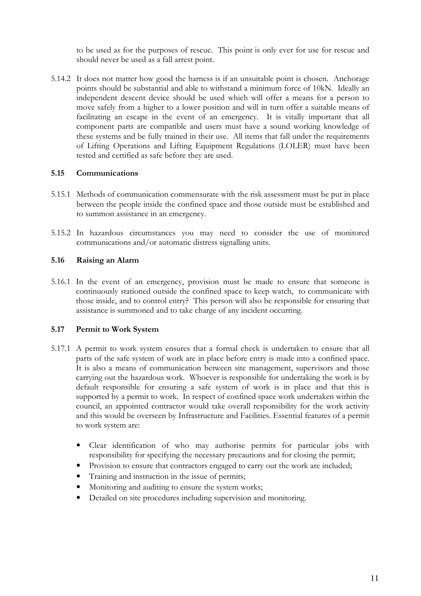to be used as for the purposes of rescue. This point is only ever for use for rescue and should never be used as a fall arrest point.

5.14.2 It does not matter how good the harness is if an unsuitable point is chosen. Anchorage points should be substantial and able to withstand a minimum force of 10kN. Ideally an independent descent device should be used which will offer a means for a person to move safely from a higher to a lower position and will in turn offer a suitable means of facilitating an escape in the event of an emergency. It is vitally important that all component parts are compatible and users must have a sound working knowledge of these systems and be fully trained in their use. All items that fall under the requirements of Lifting Operations and Lifting Equipment Regulations (LOLER) must have been tested and certified as safe before they are used.

#### 5.15 Communications

- 5.15.1 Methods of communication commensurate with the risk assessment must be put in place between the people inside the confined space and those outside must be established and to summon assistance in an emergency.
- 5.15.2 In hazardous circumstances you may need to consider the use of monitored communications and/or automatic distress signalling units.

#### 5.16 Raising an Alarm

5.16.1 In the event of an emergency, provision must be made to ensure that someone is continuously stationed outside the confined space to keep watch, to communicate with those inside, and to control entry? This person will also be responsible for ensuring that assistance is summoned and to take charge of any incident occurring.

#### 5.17 Permit to Work System

- 5.17.1 A permit to work system ensures that a formal check is undertaken to ensure that all parts of the safe system of work are in place before entry is made into a confined space. It is also a means of communication between site management, supervisors and those carrying out the hazardous work. Whoever is responsible for undertaking the work is by default responsible for ensuring a safe system of work is in place and that this is supported by a permit to work. In respect of confined space work undertaken within the council, an appointed contractor would take overall responsibility for the work activity and this would be overseen by Infrastructure and Facilities. Essential features of a permit to work system are:
	- Clear identification of who may authorise permits for particular jobs with responsibility for specifying the necessary precautions and for closing the permit;
	- Provision to ensure that contractors engaged to carry out the work are included;
	- Training and instruction in the issue of permits;
	- Monitoring and auditing to ensure the system works;
	- Detailed on site procedures including supervision and monitoring.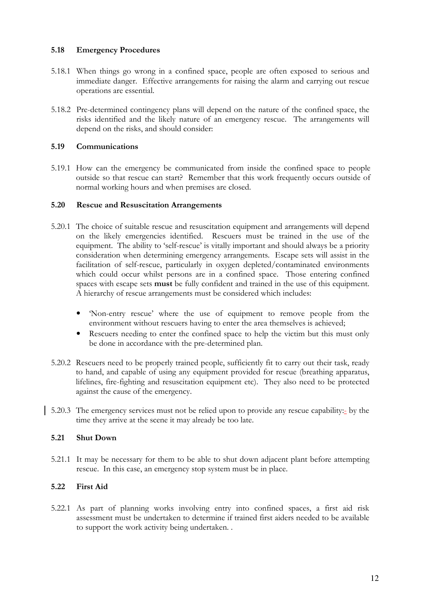#### 5.18 Emergency Procedures

- 5.18.1 When things go wrong in a confined space, people are often exposed to serious and immediate danger. Effective arrangements for raising the alarm and carrying out rescue operations are essential.
- 5.18.2 Pre-determined contingency plans will depend on the nature of the confined space, the risks identified and the likely nature of an emergency rescue. The arrangements will depend on the risks, and should consider:

#### 5.19 Communications

5.19.1 How can the emergency be communicated from inside the confined space to people outside so that rescue can start? Remember that this work frequently occurs outside of normal working hours and when premises are closed.

#### 5.20 Rescue and Resuscitation Arrangements

- 5.20.1 The choice of suitable rescue and resuscitation equipment and arrangements will depend on the likely emergencies identified. Rescuers must be trained in the use of the equipment. The ability to 'self-rescue' is vitally important and should always be a priority consideration when determining emergency arrangements. Escape sets will assist in the facilitation of self-rescue, particularly in oxygen depleted/contaminated environments which could occur whilst persons are in a confined space. Those entering confined spaces with escape sets must be fully confident and trained in the use of this equipment. A hierarchy of rescue arrangements must be considered which includes:
	- 'Non-entry rescue' where the use of equipment to remove people from the environment without rescuers having to enter the area themselves is achieved;
	- Rescuers needing to enter the confined space to help the victim but this must only be done in accordance with the pre-determined plan.
- 5.20.2 Rescuers need to be properly trained people, sufficiently fit to carry out their task, ready to hand, and capable of using any equipment provided for rescue (breathing apparatus, lifelines, fire-fighting and resuscitation equipment etc). They also need to be protected against the cause of the emergency.
- 5.20.3 The emergency services must not be relied upon to provide any rescue capability:- by the time they arrive at the scene it may already be too late.

#### 5.21 Shut Down

5.21.1 It may be necessary for them to be able to shut down adjacent plant before attempting rescue. In this case, an emergency stop system must be in place.

#### 5.22 First Aid

5.22.1 As part of planning works involving entry into confined spaces, a first aid risk assessment must be undertaken to determine if trained first aiders needed to be available to support the work activity being undertaken. .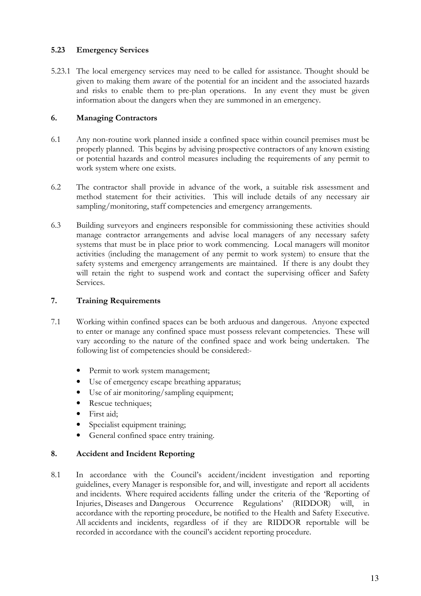#### 5.23 Emergency Services

5.23.1 The local emergency services may need to be called for assistance. Thought should be given to making them aware of the potential for an incident and the associated hazards and risks to enable them to pre-plan operations. In any event they must be given information about the dangers when they are summoned in an emergency.

#### 6. Managing Contractors

- 6.1 Any non-routine work planned inside a confined space within council premises must be properly planned. This begins by advising prospective contractors of any known existing or potential hazards and control measures including the requirements of any permit to work system where one exists.
- 6.2 The contractor shall provide in advance of the work, a suitable risk assessment and method statement for their activities. This will include details of any necessary air sampling/monitoring, staff competencies and emergency arrangements.
- 6.3 Building surveyors and engineers responsible for commissioning these activities should manage contractor arrangements and advise local managers of any necessary safety systems that must be in place prior to work commencing. Local managers will monitor activities (including the management of any permit to work system) to ensure that the safety systems and emergency arrangements are maintained. If there is any doubt they will retain the right to suspend work and contact the supervising officer and Safety Services.

#### 7. Training Requirements

- 7.1 Working within confined spaces can be both arduous and dangerous. Anyone expected to enter or manage any confined space must possess relevant competencies. These will vary according to the nature of the confined space and work being undertaken. The following list of competencies should be considered:-
	- Permit to work system management;
	- Use of emergency escape breathing apparatus;
	- Use of air monitoring/sampling equipment;
	- Rescue techniques;
	- First aid;
	- Specialist equipment training;
	- General confined space entry training.

#### 8. Accident and Incident Reporting

8.1 In accordance with the Council's accident/incident investigation and reporting guidelines, every Manager is responsible for, and will, investigate and report all accidents and incidents. Where required accidents falling under the criteria of the 'Reporting of Injuries, Diseases and Dangerous Occurrence Regulations' (RIDDOR) will, in accordance with the reporting procedure, be notified to the Health and Safety Executive. All accidents and incidents, regardless of if they are RIDDOR reportable will be recorded in accordance with the council's accident reporting procedure.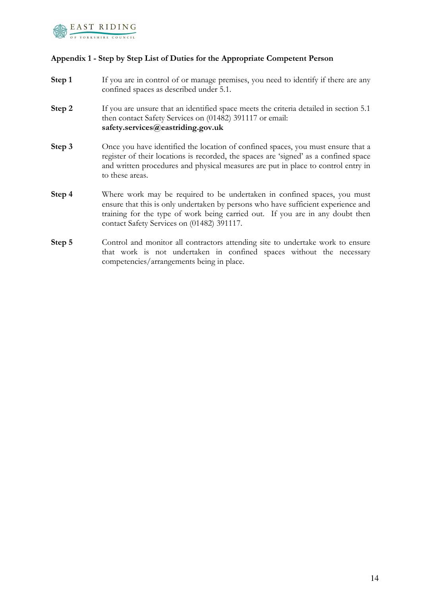

#### Appendix 1 - Step by Step List of Duties for the Appropriate Competent Person

- **Step 1** If you are in control of or manage premises, you need to identify if there are any confined spaces as described under 5.1.
- Step 2 If you are unsure that an identified space meets the criteria detailed in section 5.1 then contact Safety Services on (01482) 391117 or email: safety.services@eastriding.gov.uk
- Step 3 Once you have identified the location of confined spaces, you must ensure that a register of their locations is recorded, the spaces are 'signed' as a confined space and written procedures and physical measures are put in place to control entry in to these areas.
- Step 4 Where work may be required to be undertaken in confined spaces, you must ensure that this is only undertaken by persons who have sufficient experience and training for the type of work being carried out. If you are in any doubt then contact Safety Services on (01482) 391117.
- Step 5 Control and monitor all contractors attending site to undertake work to ensure that work is not undertaken in confined spaces without the necessary competencies/arrangements being in place.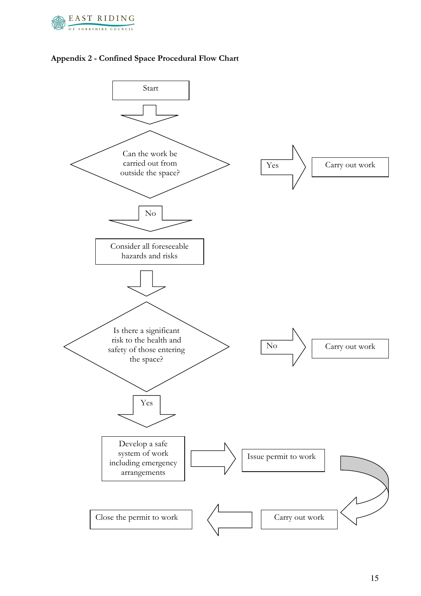



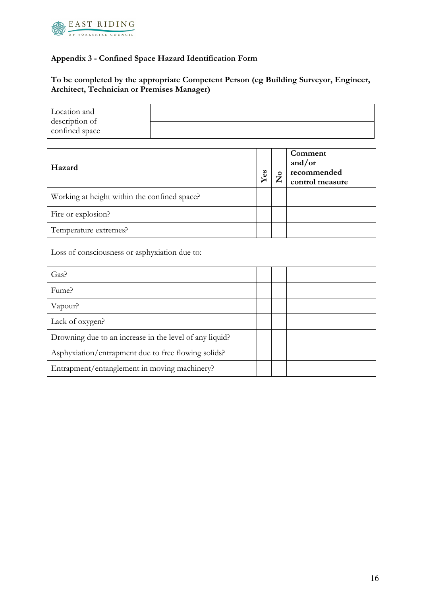

 $\mathbf{r}$ 

### Appendix 3 - Confined Space Hazard Identification Form

## To be completed by the appropriate Competent Person (eg Building Surveyor, Engineer, Architect, Technician or Premises Manager)

| Location and<br>description of                          |  |     |         |                                                     |
|---------------------------------------------------------|--|-----|---------|-----------------------------------------------------|
| confined space                                          |  |     |         |                                                     |
| Hazard                                                  |  | Yes | $\zeta$ | Comment<br>and/or<br>recommended<br>control measure |
| Working at height within the confined space?            |  |     |         |                                                     |
| Fire or explosion?                                      |  |     |         |                                                     |
| Temperature extremes?                                   |  |     |         |                                                     |
| Loss of consciousness or asphyxiation due to:           |  |     |         |                                                     |
| Gas?                                                    |  |     |         |                                                     |
| Fume?                                                   |  |     |         |                                                     |
| Vapour?                                                 |  |     |         |                                                     |
| Lack of oxygen?                                         |  |     |         |                                                     |
| Drowning due to an increase in the level of any liquid? |  |     |         |                                                     |
| Asphyxiation/entrapment due to free flowing solids?     |  |     |         |                                                     |
| Entrapment/entanglement in moving machinery?            |  |     |         |                                                     |

 $\overline{\phantom{0}}$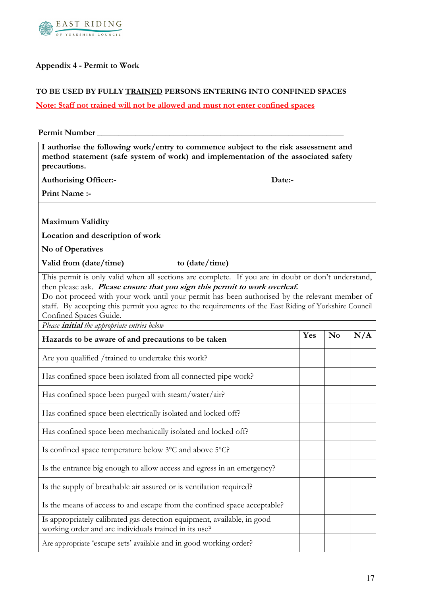

## Appendix 4 - Permit to Work

#### TO BE USED BY FULLY TRAINED PERSONS ENTERING INTO CONFINED SPACES

## Note: Staff not trained will not be allowed and must not enter confined spaces

| Permit Number                                                                                                                    |                                                                                                                                                                                                                                                                                                                                                                                            |     |                |     |
|----------------------------------------------------------------------------------------------------------------------------------|--------------------------------------------------------------------------------------------------------------------------------------------------------------------------------------------------------------------------------------------------------------------------------------------------------------------------------------------------------------------------------------------|-----|----------------|-----|
| precautions.                                                                                                                     | I authorise the following work/entry to commence subject to the risk assessment and<br>method statement (safe system of work) and implementation of the associated safety                                                                                                                                                                                                                  |     |                |     |
| <b>Authorising Officer:-</b>                                                                                                     | Date:-                                                                                                                                                                                                                                                                                                                                                                                     |     |                |     |
| Print Name :-                                                                                                                    |                                                                                                                                                                                                                                                                                                                                                                                            |     |                |     |
|                                                                                                                                  |                                                                                                                                                                                                                                                                                                                                                                                            |     |                |     |
| <b>Maximum Validity</b>                                                                                                          |                                                                                                                                                                                                                                                                                                                                                                                            |     |                |     |
| Location and description of work                                                                                                 |                                                                                                                                                                                                                                                                                                                                                                                            |     |                |     |
| No of Operatives                                                                                                                 |                                                                                                                                                                                                                                                                                                                                                                                            |     |                |     |
| Valid from (date/time)                                                                                                           | to (date/time)                                                                                                                                                                                                                                                                                                                                                                             |     |                |     |
| Confined Spaces Guide.<br>Please <i>initial</i> the appropriate entries below                                                    | This permit is only valid when all sections are complete. If you are in doubt or don't understand,<br>then please ask. Please ensure that you sign this permit to work overleaf.<br>Do not proceed with your work until your permit has been authorised by the relevant member of<br>staff. By accepting this permit you agree to the requirements of the East Riding of Yorkshire Council |     |                |     |
| Hazards to be aware of and precautions to be taken                                                                               |                                                                                                                                                                                                                                                                                                                                                                                            | Yes | N <sub>0</sub> | N/A |
| Are you qualified / trained to undertake this work?                                                                              |                                                                                                                                                                                                                                                                                                                                                                                            |     |                |     |
| Has confined space been isolated from all connected pipe work?                                                                   |                                                                                                                                                                                                                                                                                                                                                                                            |     |                |     |
| Has confined space been purged with steam/water/air?                                                                             |                                                                                                                                                                                                                                                                                                                                                                                            |     |                |     |
| Has confined space been electrically isolated and locked off?                                                                    |                                                                                                                                                                                                                                                                                                                                                                                            |     |                |     |
| Has confined space been mechanically isolated and locked off?                                                                    |                                                                                                                                                                                                                                                                                                                                                                                            |     |                |     |
| Is confined space temperature below 3°C and above 5°C?                                                                           |                                                                                                                                                                                                                                                                                                                                                                                            |     |                |     |
|                                                                                                                                  | Is the entrance big enough to allow access and egress in an emergency?                                                                                                                                                                                                                                                                                                                     |     |                |     |
| Is the supply of breathable air assured or is ventilation required?                                                              |                                                                                                                                                                                                                                                                                                                                                                                            |     |                |     |
|                                                                                                                                  | Is the means of access to and escape from the confined space acceptable?                                                                                                                                                                                                                                                                                                                   |     |                |     |
| Is appropriately calibrated gas detection equipment, available, in good<br>working order and are individuals trained in its use? |                                                                                                                                                                                                                                                                                                                                                                                            |     |                |     |
| Are appropriate 'escape sets' available and in good working order?                                                               |                                                                                                                                                                                                                                                                                                                                                                                            |     |                |     |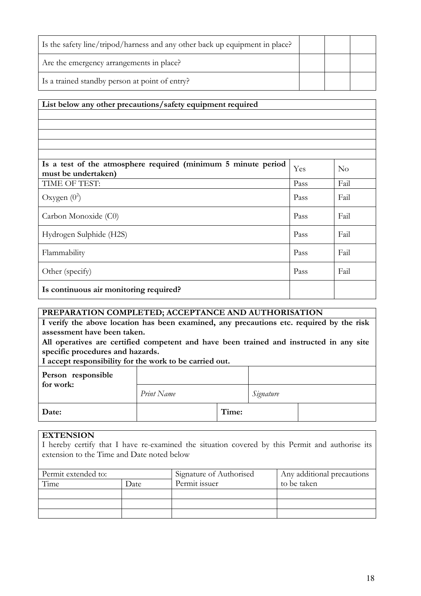| Is the safety line/tripod/harness and any other back up equipment in place? |  |  |
|-----------------------------------------------------------------------------|--|--|
| Are the emergency arrangements in place?                                    |  |  |
| Is a trained standby person at point of entry?                              |  |  |

#### List below any other precautions/safety equipment required

| Is a test of the atmosphere required (minimum 5 minute period<br>must be undertaken) | Yes  | No   |
|--------------------------------------------------------------------------------------|------|------|
| TIME OF TEST:                                                                        | Pass | Fail |
| Oxygen $(0^2)$                                                                       | Pass | Fail |
| Carbon Monoxide (C0)                                                                 | Pass | Fail |
| Hydrogen Sulphide (H2S)                                                              | Pass | Fail |
| Flammability                                                                         | Pass | Fail |
| Other (specify)                                                                      | Pass | Fail |
| Is continuous air monitoring required?                                               |      |      |

#### PREPARATION COMPLETED; ACCEPTANCE AND AUTHORISATION

I verify the above location has been examined, any precautions etc. required by the risk assessment have been taken.

All operatives are certified competent and have been trained and instructed in any site specific procedures and hazards.

I accept responsibility for the work to be carried out.

| Person responsible<br>for work: |            |       |           |  |  |
|---------------------------------|------------|-------|-----------|--|--|
|                                 | Print Name |       | Signature |  |  |
| Date:                           |            | Time: |           |  |  |

#### **EXTENSION**

I hereby certify that I have re-examined the situation covered by this Permit and authorise its extension to the Time and Date noted below

| Permit extended to: |      | Signature of Authorised | Any additional precautions |  |  |
|---------------------|------|-------------------------|----------------------------|--|--|
| Time                | Date | Permit issuer           | to be taken                |  |  |
|                     |      |                         |                            |  |  |
|                     |      |                         |                            |  |  |
|                     |      |                         |                            |  |  |